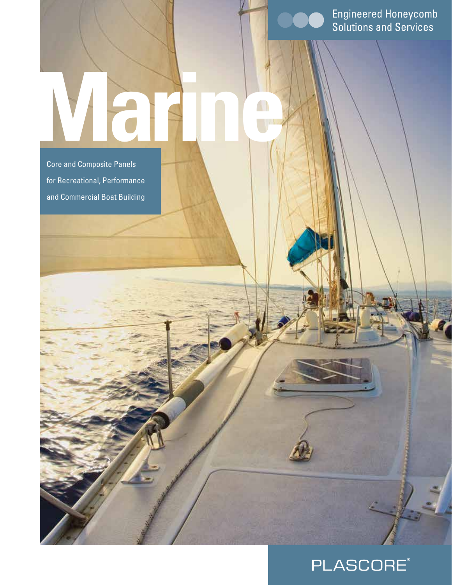Engineered Honeycomb Solutions and Services

Core and Composite Panels for Recreational, Performance and Commercial Boat Building

**Marine**

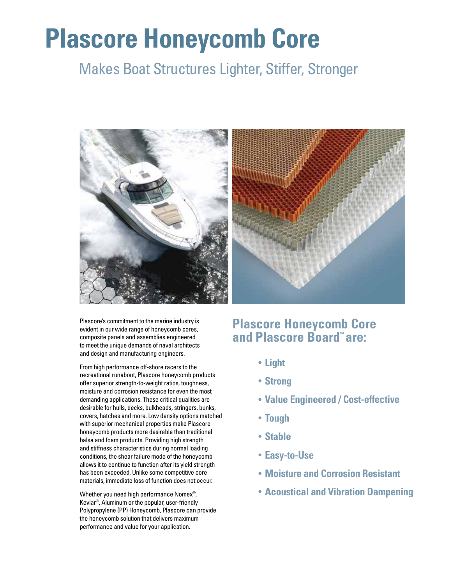# **Plascore Honeycomb Core**

# Makes Boat Structures Lighter, Stiffer, Stronger



Plascore's commitment to the marine industry is evident in our wide range of honeycomb cores, composite panels and assemblies engineered to meet the unique demands of naval architects and design and manufacturing engineers.

From high performance off-shore racers to the recreational runabout, Plascore honeycomb products offer superior strength-to-weight ratios, toughness, moisture and corrosion resistance for even the most demanding applications. These critical qualities are desirable for hulls, decks, bulkheads, stringers, bunks, covers, hatches and more. Low density options matched with superior mechanical properties make Plascore honeycomb products more desirable than traditional balsa and foam products. Providing high strength and stiffness characteristics during normal loading conditions, the shear failure mode of the honeycomb allows it to continue to function after its yield strength has been exceeded. Unlike some competitive core materials, immediate loss of function does not occur.

Whether you need high performance Nomex®, Kevlar®, Aluminum or the popular, user-friendly Polypropylene (PP) Honeycomb, Plascore can provide the honeycomb solution that delivers maximum performance and value for your application.

## **Plascore Honeycomb Core**  and Plascore Board<sup>"</sup> are:

- **• Light**
- **• Strong**
- **• Value Engineered / Cost-effective**
- **• Tough**
- **• Stable**
- **• Easy-to-Use**
- **• Moisture and Corrosion Resistant**
- **• Acoustical and Vibration Dampening**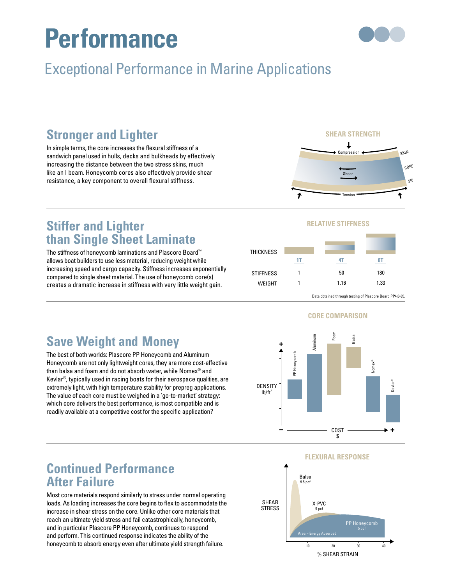# **Performance**



# **Exceptional Performance in Marine Applications** ່<br>ງ

## **Stronger and Lighter**

In simple terms, the core increases the flexural stiffness of a sandwich panel used in hulls, decks and bulkheads by effectively increasing the distance between the two stress skins, much like an I beam. Honeycomb cores also effectively provide shear resistance, a key component to overall flexural stiffness.

### SHEAR ST<mark>RENGT</mark>H



## **Stiffer and Lighter than Single Sheet Laminate**

The stiffness of honeycomb laminations and Plascore Board™ allows boat builders to use less material, reducing weight while increasing speed and cargo capacity. Stiffness increases exponentially compared to single sheet material. The use of honeycomb core(s) creates a dramatic increase in stiffness with very little weight gain.

### **RELATIVE STIFFNESS**

**1T 4T 8T**



Balsa

**SHEAR STRENGTH**

Data obtained through testing of Plascore Board PP4.0-85.

## **Save Weight and Money**

The best of both worlds: Plascore PP Honeycomb and Aluminum Honeycomb are not only lightweight cores, they are more cost-effective than balsa and foam and do not absorb water, while Nomex® and Kevlar®, typically used in racing boats for their aerospace qualities, are extremely light, with high temperature stability for prepreg applications. The value of each core must be weighed in a 'go-to-market' strategy: which core delivers the best performance, is most compatible and is readily available at a competitive cost for the specific application?



### **RELATIVE STIFFNESS FLEXURAL RESPONSE**



## **Continued Performance After Failure**

Most core materials respond similarly to stress under normal operating loads. As loading increases the core begins to flex to accommodate the increase in shear stress on the core. Unlike other core materials that reach an ultimate yield stress and fail catastrophically, honeycomb, and in particular Plascore PP Honeycomb, continues to respond and perform. This continued response indicates the ability of the honeycomb to absorb energy even after ultimate yield strength failure.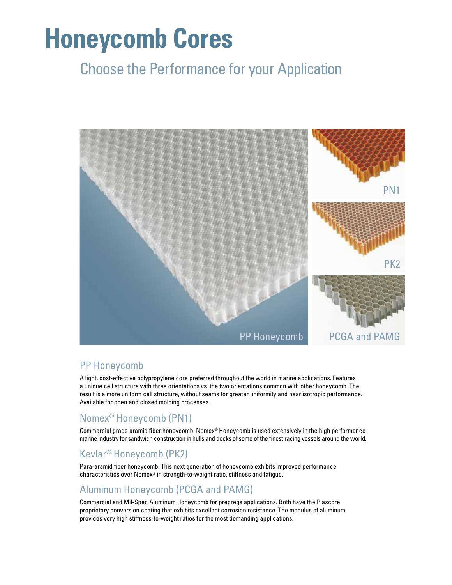# **Honeycomb Cores**

# Choose the Performance for your Application



### PP Honeycomb

A light, cost-effective polypropylene core preferred throughout the world in marine applications. Features a unique cell structure with three orientations vs. the two orientations common with other honeycomb. The result is a more uniform cell structure, without seams for greater uniformity and near isotropic performance. Available for open and closed molding processes.

### Nomex® Honeycomb (PN1)

Commercial grade aramid fiber honeycomb. Nomex® Honeycomb is used extensively in the high performance marine industry for sandwich construction in hulls and decks of some of the finest racing vessels around the world.

### Kevlar® Honeycomb (PK2)

Para-aramid fiber honeycomb. This next generation of honeycomb exhibits improved performance characteristics over Nomex® in strength-to-weight ratio, stiffness and fatigue.

### Aluminum Honeycomb (PCGA and PAMG)

Commercial and Mil-Spec Aluminum Honeycomb for prepregs applications. Both have the Plascore proprietary conversion coating that exhibits excellent corrosion resistance. The modulus of aluminum provides very high stiffness-to-weight ratios for the most demanding applications.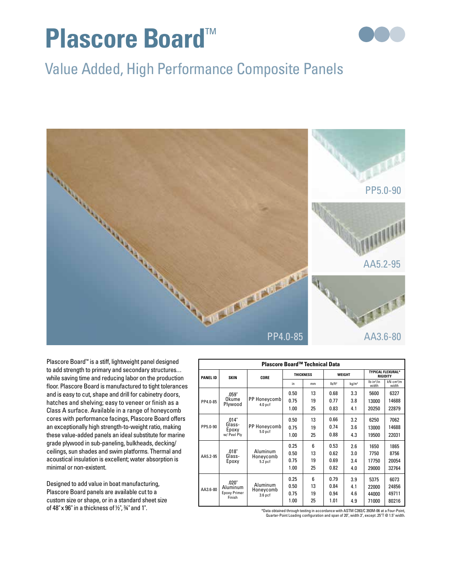# **Plascore Board™**



# Value Added, High Performance Composite Panels



Plascore Board™ is a stiff, lightweight panel designed to add strength to primary and secondary structures. . . while saving time and reducing labor on the production floor. Plascore Board is manufactured to tight tolerances and is easy to cut, shape and drill for cabinetry doors, hatches and shelving; easy to veneer or finish as a Class A surface. Available in a range of honeycomb cores with performance facings, Plascore Board offers an exceptionally high strength-to-weight ratio, making these value-added panels an ideal substitute for marine grade plywood in sub-paneling, bulkheads, decking/ ceilings, sun shades and swim platforms. Thermal and acoustical insulation is excellent; water absorption is minimal or non-existent.

Designed to add value in boat manufacturing, Plascore Board panels are available cut to a custom size or shape, or in a standard sheet size of 48" x 96" in a thickness of  $\frac{1}{2}$ ",  $\frac{3}{4}$ " and 1".

| Plascore Board™ Technical Data |                                                    |                                    |                  |    |               |                   |                                             |                                   |
|--------------------------------|----------------------------------------------------|------------------------------------|------------------|----|---------------|-------------------|---------------------------------------------|-----------------------------------|
| <b>PANEL ID</b>                | <b>SKIN</b>                                        | CORE                               | <b>THICKNESS</b> |    | <b>WEIGHT</b> |                   | <b>TYPICAL FLEXURAL*</b><br><b>RIGIDITY</b> |                                   |
|                                |                                                    |                                    | in.              | mm | $Ib/ft^2$     | kg/m <sup>2</sup> | $lb$ -in <sup>2</sup> /in<br>width          | $kN$ -cm <sup>2</sup> /m<br>width |
| PP4.0-85                       | .059"<br>Okume<br>Plywood                          | PP Honeycomb<br>4.0 <sub>pcf</sub> | 0.50             | 13 | 0.68          | 3.3               | 5600                                        | 6327                              |
|                                |                                                    |                                    | 0.75             | 19 | 0.77          | 3.8               | 13000                                       | 14688                             |
|                                |                                                    |                                    | 1.00             | 25 | 0.83          | 4.1               | 20250                                       | 22879                             |
| PP5.0-90                       | .014"<br>Glass-<br>Epoxy<br>w/ Peel Plv            | PP Honeycomb<br>5.0 <sub>pcf</sub> | 0.50             | 13 | 0.66          | 3.2               | 6250                                        | 7062                              |
|                                |                                                    |                                    | 0.75             | 19 | 0.74          | 3.6               | 13000                                       | 14688                             |
|                                |                                                    |                                    | 1.00             | 25 | 0.88          | 4.3               | 19500                                       | 22031                             |
| AA5.2-95                       | .018"<br>Glass-<br>Epoxy                           | Aluminum<br>Honeycomb<br>$5.2$ pcf | 0.25             | 6  | 0.53          | 2.6               | 1650                                        | 1865                              |
|                                |                                                    |                                    | 0.50             | 13 | 0.62          | 3.0               | 7750                                        | 8756                              |
|                                |                                                    |                                    | 0.75             | 19 | 0.69          | 3.4               | 17750                                       | 20054                             |
|                                |                                                    |                                    | 1.00             | 25 | 0.82          | 4.0               | 29000                                       | 32764                             |
| AA3.6-80                       | .020"<br>Aluminum<br><b>Epoxy Primer</b><br>Finish | Aluminum<br>Honeycomb<br>$3.6$ pcf | 0.25             | 6  | 0.79          | 3.9               | 5375                                        | 6073                              |
|                                |                                                    |                                    | 0.50             | 13 | 0.84          | 4.1               | 22000                                       | 24856                             |
|                                |                                                    |                                    | 0.75             | 19 | 0.94          | 4.6               | 44000                                       | 49711                             |
|                                |                                                    |                                    | 1.00             | 25 | 1.01          | 4.9               | 71000                                       | 80216                             |

\*Data obtained through testing in accordance with ASTM C393/C 393M-06 at a Four-Point, Quarter-Point Loading configuration and span of 20", width 3", except .25"T @ 1.5" width.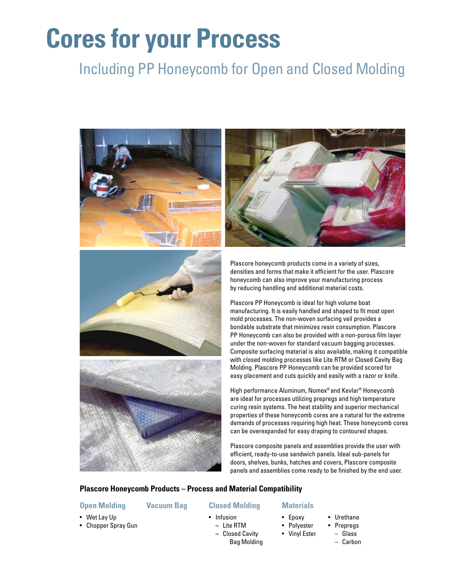# **Cores for your Process**

# Including PP Honeycomb for Open and Closed Molding





Plascore honeycomb products come in a variety of sizes, densities and forms that make it efficient for the user. Plascore honeycomb can also improve your manufacturing process by reducing handling and additional material costs.

Plascore PP Honeycomb is ideal for high volume boat manufacturing. It is easily handled and shaped to fit most open mold processes. The non-woven surfacing veil provides a bondable substrate that minimizes resin consumption. Plascore PP Honeycomb can also be provided with a non-porous film layer under the non-woven for standard vacuum bagging processes. Composite surfacing material is also available, making it compatible with closed molding processes like Lite RTM or Closed Cavity Bag Molding. Plascore PP Honeycomb can be provided scored for easy placement and cuts quickly and easily with a razor or knife.

High performance Aluminum, Nomex® and Kevlar® Honeycomb are ideal for processes utilizing prepregs and high temperature curing resin systems. The heat stability and superior mechanical properties of these honeycomb cores are a natural for the extreme demands of processes requiring high heat. These honeycomb cores can be overexpanded for easy draping to contoured shapes.

Plascore composite panels and assemblies provide the user with efficient, ready-to-use sandwich panels. Ideal sub-panels for doors, shelves, bunks, hatches and covers, Plascore composite panels and assemblies come ready to be finished by the end user.

### **Plascore Honeycomb Products – Process and Material Compatibility**

### **Open Molding**

#### **Vacuum Bag**

### **Closed Molding**

- Wet Lay Up
- Chopper Spray Gun
- 
- Infusion **–** Lite RTM
	- **–** Closed Cavity Bag Molding

#### **Materials**

- Epoxy
	- Polyester
- Urethane • Prepregs – Glass
	- Vinyl Ester
- Carbon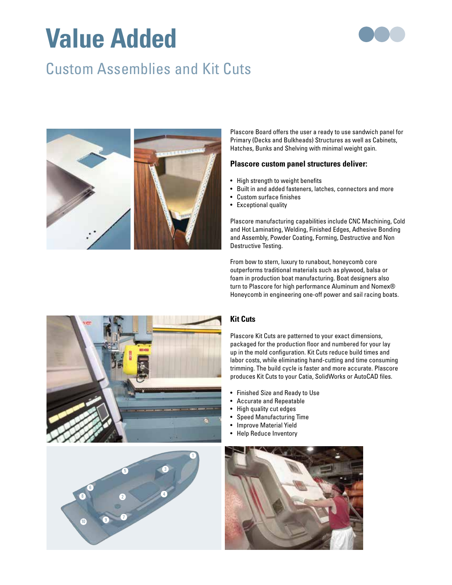# **Value Added**



# Custom Assemblies and Kit Cuts



Plascore Board offers the user a ready to use sandwich panel for Primary (Decks and Bulkheads) Structures as well as Cabinets, Hatches, Bunks and Shelving with minimal weight gain.

### **Plascore custom panel structures deliver:**

- High strength to weight benefits
- Built in and added fasteners, latches, connectors and more
- Custom surface finishes
- Exceptional quality

Plascore manufacturing capabilities include CNC Machining, Cold and Hot Laminating, Welding, Finished Edges, Adhesive Bonding and Assembly, Powder Coating, Forming, Destructive and Non Destructive Testing.

From bow to stern, luxury to runabout, honeycomb core outperforms traditional materials such as plywood, balsa or foam in production boat manufacturing. Boat designers also turn to Plascore for high performance Aluminum and Nomex® Honeycomb in engineering one-off power and sail racing boats.





### **Kit Cuts**

Plascore Kit Cuts are patterned to your exact dimensions, packaged for the production floor and numbered for your lay up in the mold configuration. Kit Cuts reduce build times and labor costs, while eliminating hand-cutting and time consuming trimming. The build cycle is faster and more accurate. Plascore produces Kit Cuts to your Catia, SolidWorks or AutoCAD files.

- Finished Size and Ready to Use
- Accurate and Repeatable
- High quality cut edges
- Speed Manufacturing Time
- Improve Material Yield
- Help Reduce Inventory